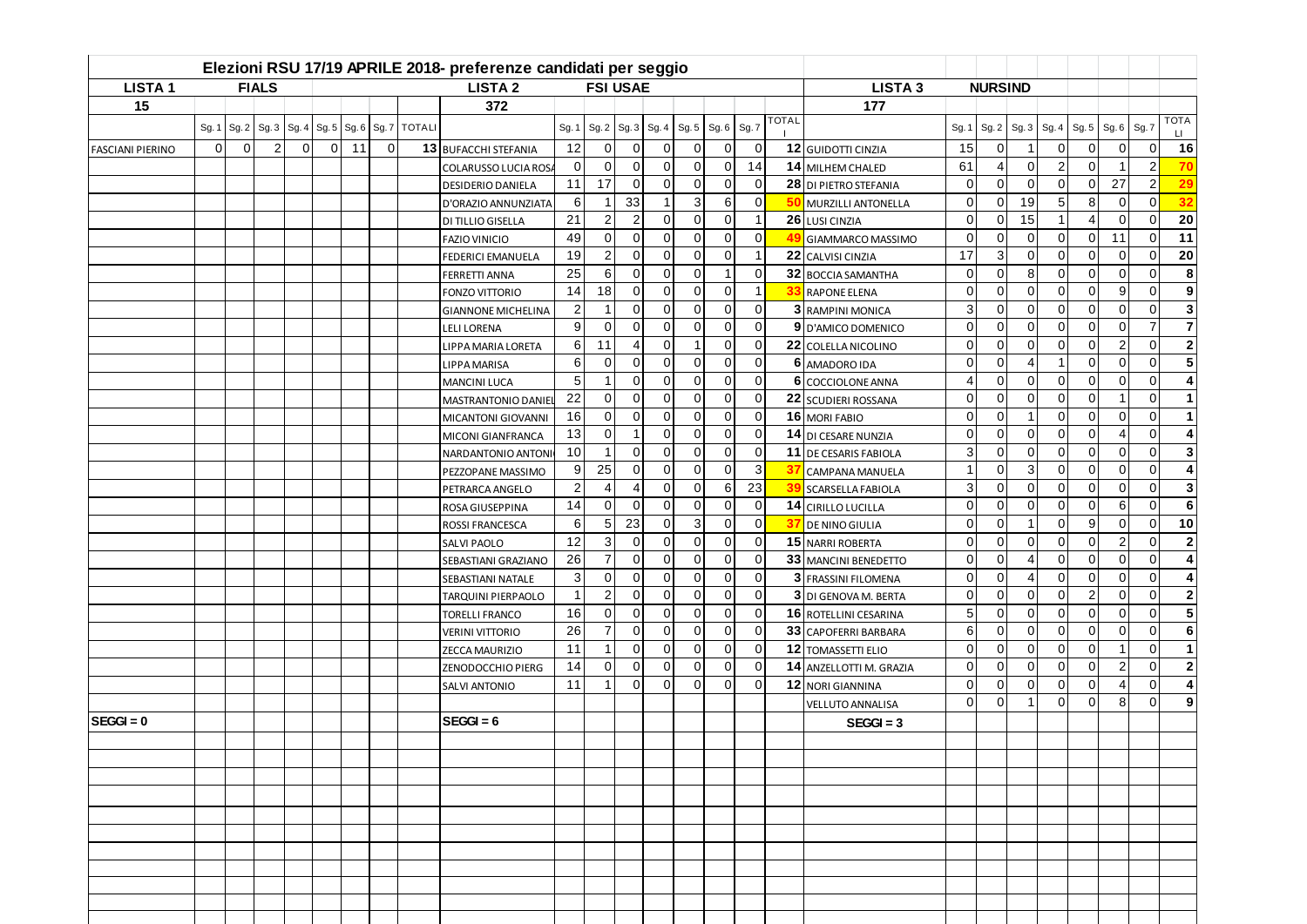| <b>LISTA1</b>           |          |             | <b>FIALS</b>   |          |             | <b>LISTA 2</b><br><b>FSI USAE</b> |             |               |                            |                 |                |                |                |                |                |                | <b>LISTA 3</b> |                          | <b>NURSIND</b> |                |                |                |                |                |                             |
|-------------------------|----------|-------------|----------------|----------|-------------|-----------------------------------|-------------|---------------|----------------------------|-----------------|----------------|----------------|----------------|----------------|----------------|----------------|----------------|--------------------------|----------------|----------------|----------------|----------------|----------------|----------------|-----------------------------|
| 15                      |          |             |                |          |             |                                   |             |               | 372                        |                 |                |                |                |                |                |                |                | 177                      |                |                |                |                |                |                |                             |
|                         | Sg. 1    | Sg.2        | Sg.3           | Sg.4     | Sg.5        |                                   | Sg. 6 Sg. 7 | <b>TOTALI</b> |                            | Sg. 1           | Sg.2           | Sg.3           | Sg.4           | Sg.5           | Sg. 6          | Sg. 7          | <b>TOTAL</b>   |                          | Sg. 1          | Sg.2           | Sg.3           | Sg.4           | Sg.5           | Sg. 6          | <b>TOTA</b><br>Sg. 7<br>LI. |
| <b>FASCIANI PIERINO</b> | $\Omega$ | $\mathbf 0$ | $\overline{2}$ | $\Omega$ | $\mathbf 0$ | 11                                | $\Omega$    |               | 13 BUFACCHI STEFANIA       | 12              | $\Omega$       | $\Omega$       | $\Omega$       | $\overline{0}$ | $\Omega$       | $\overline{0}$ |                | 12 GUIDOTTI CINZIA       | 15             | $\overline{0}$ | $\mathbf 1$    | 0              | $\Omega$       | $\Omega$       | 16<br>0                     |
|                         |          |             |                |          |             |                                   |             |               | <b>COLARUSSO LUCIA ROS</b> | $\overline{0}$  | $\overline{0}$ | $\Omega$       | $\Omega$       | $\mathbf 0$    | $\overline{0}$ | 14             |                | 14 MILHEM CHALED         | 61             | $\overline{4}$ | $\mathbf 0$    | $\overline{2}$ | $\Omega$       |                | $\overline{2}$<br>70        |
|                         |          |             |                |          |             |                                   |             |               | <b>DESIDERIO DANIELA</b>   | 11              | 17             | $\Omega$       | $\Omega$       | $\Omega$       | $\Omega$       | $\Omega$       |                | 28 DI PIETRO STEFANIA    | $\mathbf 0$    | $\overline{0}$ | $\overline{0}$ | $\Omega$       | $\Omega$       | 27             | $\overline{2}$<br>29        |
|                         |          |             |                |          |             |                                   |             |               | D'ORAZIO ANNUNZIATA        | 6               |                | 33             | -1             | 3              | 6              | $\Omega$       | 50             | MURZILLI ANTONELLA       | $\overline{0}$ | $\Omega$       | 19             | 5 <sup>1</sup> | 8              | $\Omega$       | 32<br>$\Omega$              |
|                         |          |             |                |          |             |                                   |             |               | <b>DI TILLIO GISELLA</b>   | 21              | 2              | 2              | $\Omega$       | $\Omega$       | $\Omega$       | -1             |                | 26 LUSI CINZIA           | $\Omega$       | $\Omega$       | 15             | $\mathbf{1}$   | 4              | $\Omega$       | $\Omega$<br>20              |
|                         |          |             |                |          |             |                                   |             |               | <b>FAZIO VINICIO</b>       | 49              | $\overline{0}$ | $\mathbf 0$    | $\overline{0}$ | $\overline{0}$ | $\overline{0}$ | $\overline{0}$ | $\mathbf{A}$   | GIAMMARCO MASSIMO        | $\mathbf 0$    | $\overline{0}$ | $\mathbf 0$    | $\overline{0}$ | $\overline{0}$ | 11             | $\mathbf 0$<br>11           |
|                         |          |             |                |          |             |                                   |             |               | FEDERICI EMANUELA          | 19              | $\overline{2}$ | $\overline{0}$ | $\mathbf 0$    | $\overline{0}$ | $\overline{0}$ | $\overline{1}$ |                | 22 CALVISI CINZIA        | 17             | 3              | 0              | $\overline{0}$ | $\overline{0}$ | $\mathbf 0$    | $\mathbf 0$<br>20           |
|                         |          |             |                |          |             |                                   |             |               | <b>FERRETTI ANNA</b>       | 25              | 6              | $\Omega$       | $\Omega$       | $\mathbf 0$    |                | $\mathbf 0$    |                | 32 BOCCIA SAMANTHA       | $\mathbf 0$    | $\mathbf 0$    | 8              | $\Omega$       | $\Omega$       | $\Omega$       | $\Omega$                    |
|                         |          |             |                |          |             |                                   |             |               | <b>FONZO VITTORIO</b>      | 14              | 18             | $\Omega$       | $\mathbf 0$    | $\overline{0}$ | $\overline{0}$ | -1             | -33            | <b>RAPONE ELENA</b>      | $\mathbf 0$    | $\mathbf 0$    | $\mathbf 0$    | $\Omega$       | $\Omega$       | 9              | $\Omega$                    |
|                         |          |             |                |          |             |                                   |             |               | <b>GIANNONE MICHELINA</b>  | $\overline{2}$  |                | $\Omega$       | $\mathbf 0$    | $\overline{0}$ | $\overline{0}$ | $\overline{0}$ |                | 3 RAMPINI MONICA         | 3              | $\mathbf 0$    | $\overline{0}$ | $\Omega$       | $\Omega$       | $\Omega$       | $\Omega$                    |
|                         |          |             |                |          |             |                                   |             |               | <b>LELI LORENA</b>         | 9               | $\Omega$       | $\Omega$       | $\Omega$       | $\overline{0}$ | $\Omega$       | $\overline{0}$ |                | 9 D'AMICO DOMENICO       | $\Omega$       | $\Omega$       | $\Omega$       | $\Omega$       | $\Omega$       | $\Omega$       | $\overline{7}$              |
|                         |          |             |                |          |             |                                   |             |               | <b>LIPPA MARIA LORETA</b>  | 6               | 11             | 4              | $\Omega$       | $\overline{1}$ | $\overline{0}$ | $\overline{0}$ |                | 22 COLELLA NICOLINO      | $\mathbf 0$    | $\mathbf 0$    | $\mathbf 0$    | $\Omega$       | $\Omega$       | $\overline{2}$ | $\Omega$                    |
|                         |          |             |                |          |             |                                   |             |               | <b>LIPPA MARISA</b>        | 6               | 0              | $\Omega$       | $\Omega$       | $\mathbf 0$    | $\overline{0}$ | $\overline{0}$ |                | 6 AMADORO IDA            | $\mathbf 0$    | $\mathbf 0$    | $\overline{4}$ | -1             | $\Omega$       | $\Omega$       | $\Omega$                    |
|                         |          |             |                |          |             |                                   |             |               | <b>MANCINI LUCA</b>        | $5\overline{)}$ |                | $\Omega$       | $\Omega$       | $\mathbf 0$    | $\overline{0}$ | $\overline{0}$ |                | 6 COCCIOLONE ANNA        | $\overline{4}$ | $\Omega$       | $\Omega$       | $\Omega$       | $\Omega$       | $\Omega$       | $\Omega$                    |
|                         |          |             |                |          |             |                                   |             |               | MASTRANTONIO DANIE         | 22              | $\Omega$       | $\Omega$       | $\Omega$       | $\Omega$       | $\Omega$       | $\mathbf 0$    |                | 22 SCUDIERI ROSSANA      | $\mathbf 0$    | $\mathbf 0$    | $\mathbf 0$    | $\Omega$       | $\Omega$       |                | $\Omega$                    |
|                         |          |             |                |          |             |                                   |             |               | MICANTONI GIOVANNI         | 16              | $\Omega$       | $\Omega$       | $\Omega$       | $\Omega$       | $\Omega$       | $\Omega$       |                | 16 MORI FABIO            | $\Omega$       | $\Omega$       | $\overline{1}$ | $\Omega$       | $\Omega$       | $\Omega$       | $\Omega$                    |
|                         |          |             |                |          |             |                                   |             |               | MICONI GIANFRANCA          | 13              | $\Omega$       | -1             | $\Omega$       | $\mathbf 0$    | $\Omega$       | $\overline{0}$ |                | 14 DI CESARE NUNZIA      | $\Omega$       | $\Omega$       | $\Omega$       | $\Omega$       | $\Omega$       | $\overline{4}$ | $\Omega$                    |
|                         |          |             |                |          |             |                                   |             |               | NARDANTONIO ANTONI         | 10              |                | $\Omega$       | $\Omega$       | $\mathbf 0$    | $\overline{0}$ | $\overline{0}$ |                | 11 DE CESARIS FABIOLA    | 3              | $\mathbf 0$    | $\mathbf 0$    | $\Omega$       | $\Omega$       | $\Omega$       | $\Omega$                    |
|                         |          |             |                |          |             |                                   |             |               | PEZZOPANE MASSIMO          | 9               | 25             | $\Omega$       | $\overline{0}$ | $\mathbf 0$    | $\overline{0}$ | 3              | 37             | <b>CAMPANA MANUELA</b>   | -1             | $\mathbf 0$    | 3              | $\overline{0}$ | $\overline{0}$ | $\mathbf 0$    | $\mathbf 0$                 |
|                         |          |             |                |          |             |                                   |             |               | PETRARCA ANGELO            | $\overline{c}$  | 4              | 4              | $\mathbf 0$    | $\overline{0}$ | 6              | 23             | 39             | <b>SCARSELLA FABIOLA</b> | 3              | $\mathbf 0$    | $\mathbf 0$    | $\Omega$       | $\Omega$       | $\mathbf 0$    | $\mathbf 0$                 |
|                         |          |             |                |          |             |                                   |             |               | ROSA GIUSEPPINA            | 14              | $\overline{0}$ | 0              | $\Omega$       | $\mathbf 0$    | $\overline{0}$ | $\mathbf 0$    |                | 14 CIRILLO LUCILLA       | $\mathbf 0$    | 0              | $\mathbf 0$    | $\Omega$       | $\Omega$       | 6              | $\Omega$                    |
|                         |          |             |                |          |             |                                   |             |               | <b>ROSSI FRANCESCA</b>     | 6               | 5              | 23             | $\Omega$       | 3              | $\overline{0}$ | $\Omega$       | -37            | <b>DE NINO GIULIA</b>    | $\mathbf 0$    | $\mathbf 0$    | $\mathbf{1}$   | $\Omega$       | 9              | $\Omega$       | 10<br>$\Omega$              |
|                         |          |             |                |          |             |                                   |             |               | <b>SALVI PAOLO</b>         | 12              | 3              | $\mathbf 0$    | $\mathbf 0$    | $\overline{0}$ | $\overline{0}$ | $\overline{0}$ |                | 15 NARRI ROBERTA         | $\Omega$       | $\Omega$       | $\mathbf 0$    | $\Omega$       | $\Omega$       | $\overline{2}$ | $\Omega$                    |
|                         |          |             |                |          |             |                                   |             |               | SEBASTIANI GRAZIANO        | 26              | $\overline{7}$ | $\Omega$       | $\Omega$       | $\overline{0}$ | $\overline{0}$ | $\overline{0}$ |                | 33 MANCINI BENEDETTO     | $\Omega$       | $\Omega$       | 4              | $\Omega$       | $\Omega$       | $\Omega$       | $\Omega$                    |
|                         |          |             |                |          |             |                                   |             |               | SEBASTIANI NATALE          | 3               | $\overline{0}$ | $\overline{0}$ | $\Omega$       | $\mathbf 0$    | $\overline{0}$ | $\overline{0}$ |                | 3 FRASSINI FILOMENA      | $\mathbf 0$    | $\mathbf 0$    | $\overline{4}$ | $\Omega$       | $\Omega$       | $\mathbf 0$    | $\mathbf 0$                 |
|                         |          |             |                |          |             |                                   |             |               | TARQUINI PIERPAOLO         |                 | $\overline{2}$ | $\overline{0}$ | $\overline{0}$ | $\overline{0}$ | $\overline{0}$ | $\overline{0}$ |                | 3 DI GENOVA M. BERTA     | $\mathbf 0$    | $\mathbf 0$    | $\mathbf 0$    | $\Omega$       | $\overline{2}$ | $\mathbf 0$    | $\mathbf 0$                 |
|                         |          |             |                |          |             |                                   |             |               | <b>TORELLI FRANCO</b>      | 16              | 0              | $\Omega$       | $\Omega$       | $\mathbf 0$    | $\overline{0}$ | $\mathbf 0$    |                | 16 ROTELLINI CESARINA    | 5              | 0              | $\Omega$       | $\Omega$       | $\Omega$       | $\Omega$       | $\Omega$                    |
|                         |          |             |                |          |             |                                   |             |               | <b>VERINI VITTORIO</b>     | 26              |                | $\Omega$       | $\Omega$       | $\Omega$       | $\Omega$       | $\mathbf 0$    |                | 33 CAPOFERRI BARBARA     | 6              | $\mathbf 0$    | $\mathbf 0$    | $\Omega$       | $\Omega$       | $\Omega$       | $\Omega$                    |
|                         |          |             |                |          |             |                                   |             |               | ZECCA MAURIZIO             | 11              |                | $\Omega$       | $\Omega$       | $\Omega$       | $\Omega$       | $\Omega$       |                | 12 TOMASSETTI ELIO       | $\Omega$       | $\Omega$       | $\Omega$       | $\Omega$       | $\Omega$       | $\overline{1}$ | $\Omega$                    |
|                         |          |             |                |          |             |                                   |             |               | ZENODOCCHIO PIERG          | 14              | $\Omega$       | $\Omega$       | $\Omega$       | $\Omega$       | $\Omega$       | $\Omega$       |                | 14 ANZELLOTTI M. GRAZIA  | $\Omega$       | $\Omega$       | $\Omega$       | $\Omega$       | $\Omega$       | $\overline{2}$ | $\Omega$                    |
|                         |          |             |                |          |             |                                   |             |               | <b>SALVI ANTONIO</b>       | 11              |                | $\Omega$       | $\Omega$       | $\mathbf 0$    | $\overline{0}$ | $\overline{0}$ |                | 12 NORI GIANNINA         | $\Omega$       | $\Omega$       | $\overline{0}$ | $\Omega$       | $\Omega$       | $\overline{4}$ | $\Omega$                    |
|                         |          |             |                |          |             |                                   |             |               |                            |                 |                |                |                |                |                |                |                | <b>VELLUTO ANNALISA</b>  | $\Omega$       | $\Omega$       |                | $\Omega$       | $\Omega$       | 8              | $\Omega$                    |
| $SEGGI = 0$             |          |             |                |          |             |                                   |             |               | $SEG = 6$                  |                 |                |                |                |                |                |                |                |                          |                |                |                |                |                |                |                             |
|                         |          |             |                |          |             |                                   |             |               |                            |                 |                |                |                |                |                |                |                | $SEGGI = 3$              |                |                |                |                |                |                |                             |
|                         |          |             |                |          |             |                                   |             |               |                            |                 |                |                |                |                |                |                |                |                          |                |                |                |                |                |                |                             |
|                         |          |             |                |          |             |                                   |             |               |                            |                 |                |                |                |                |                |                |                |                          |                |                |                |                |                |                |                             |
|                         |          |             |                |          |             |                                   |             |               |                            |                 |                |                |                |                |                |                |                |                          |                |                |                |                |                |                |                             |
|                         |          |             |                |          |             |                                   |             |               |                            |                 |                |                |                |                |                |                |                |                          |                |                |                |                |                |                |                             |
|                         |          |             |                |          |             |                                   |             |               |                            |                 |                |                |                |                |                |                |                |                          |                |                |                |                |                |                |                             |
|                         |          |             |                |          |             |                                   |             |               |                            |                 |                |                |                |                |                |                |                |                          |                |                |                |                |                |                |                             |
|                         |          |             |                |          |             |                                   |             |               |                            |                 |                |                |                |                |                |                |                |                          |                |                |                |                |                |                |                             |
|                         |          |             |                |          |             |                                   |             |               |                            |                 |                |                |                |                |                |                |                |                          |                |                |                |                |                |                |                             |
|                         |          |             |                |          |             |                                   |             |               |                            |                 |                |                |                |                |                |                |                |                          |                |                |                |                |                |                |                             |
|                         |          |             |                |          |             |                                   |             |               |                            |                 |                |                |                |                |                |                |                |                          |                |                |                |                |                |                |                             |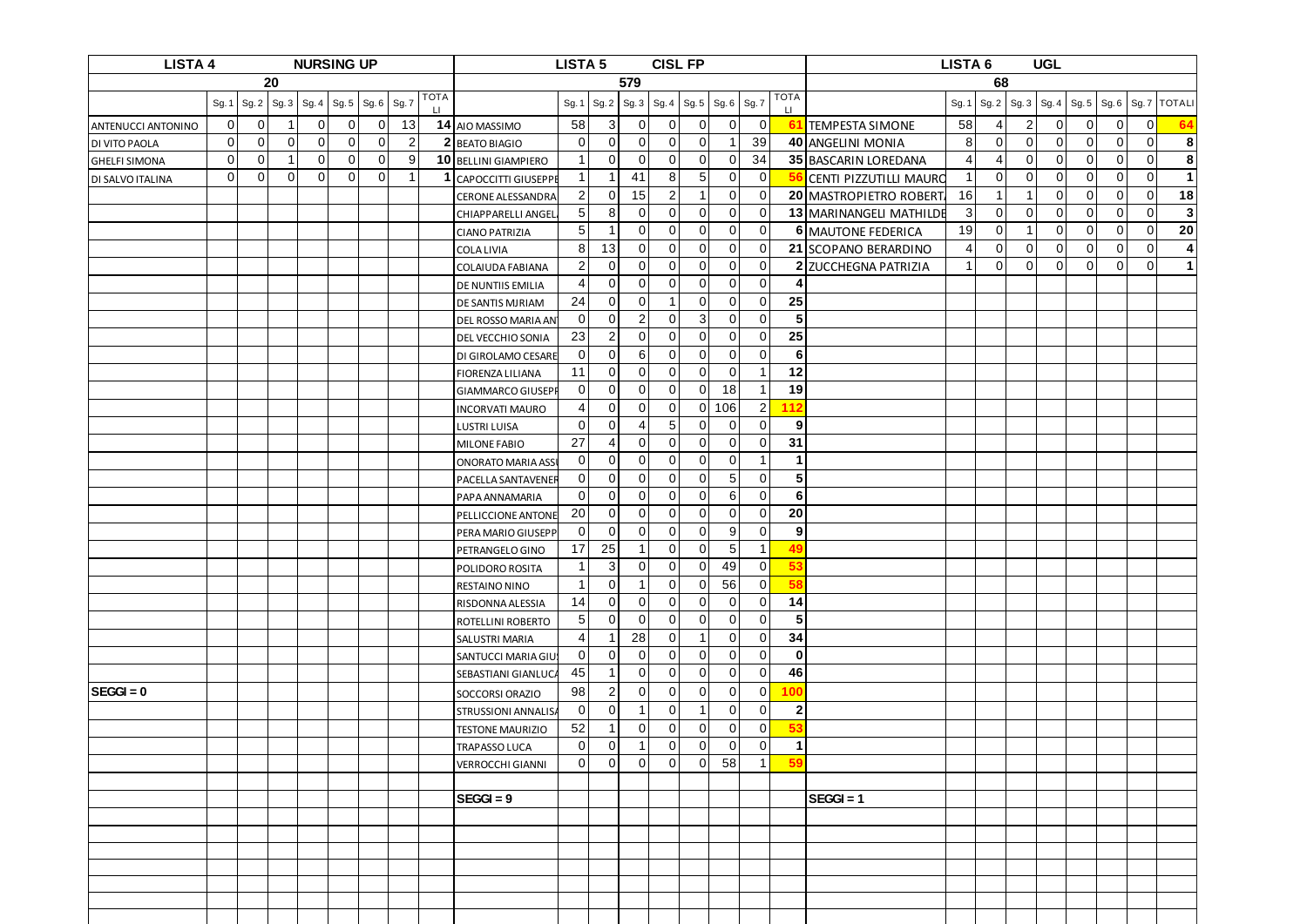| <b>LISTA 4</b><br><b>NURSING UP</b> |             |                |                         |              |          |                           |                |             |                                           | <b>LISTA 5</b>                   |                            |                                  | <b>CISL FP</b>                   |                               |                                  |                             |                         | LISTA <sub>6</sub><br><b>UGL</b> |                |                |                |             |                |             |             |                         |
|-------------------------------------|-------------|----------------|-------------------------|--------------|----------|---------------------------|----------------|-------------|-------------------------------------------|----------------------------------|----------------------------|----------------------------------|----------------------------------|-------------------------------|----------------------------------|-----------------------------|-------------------------|----------------------------------|----------------|----------------|----------------|-------------|----------------|-------------|-------------|-------------------------|
|                                     |             |                | 20                      |              |          |                           |                |             | 579                                       |                                  |                            |                                  |                                  |                               |                                  |                             |                         | 68                               |                |                |                |             |                |             |             |                         |
|                                     | Sg. 1       | Sg.2           | Sg.3                    | Sg.4         | Sg. 5    | $\mid$ Sg. 6 $\mid$ Sg. 7 |                | TOTA<br>LI. |                                           | Sg. 1                            | Sg. 2                      | Sg. 3                            | Sg.4                             | Sg.5                          | Sg. 6 Sg. 7                      |                             | <b>TOTA</b><br>$\sqcup$ |                                  | Sg. 1          | Sg.2           | Sg.3           | Sg. 4       | $Sg.5$ Sg. 6   |             | Sg. 7       | <b>TOTALI</b>           |
| <b>ANTENUCCI ANTONINO</b>           | $\mathbf 0$ | $\overline{0}$ | $\overline{\mathbf{1}}$ | $\Omega$     | $\Omega$ | $\Omega$                  | 13             |             | 14 AIO MASSIMO                            | 58                               | 3                          | $\overline{0}$                   | $\overline{0}$                   | $\overline{0}$                | $\overline{0}$                   | $\mathbf 0$                 | 61                      | <b>TEMPESTA SIMONE</b>           | 58             | $\vert$        | $\overline{2}$ | 0           | $\mathbf 0$    | 0           | $\mathbf 0$ | 64                      |
| DI VITO PAOLA                       | $\mathbf 0$ | 0              | $\overline{0}$          | $\mathbf{0}$ | $\Omega$ | $\Omega$                  | $\overline{2}$ |             | 2 BEATO BIAGIO                            | $\mathbf 0$                      | $\mathbf 0$                | $\overline{0}$                   | $\overline{0}$                   | $\mathbf 0$                   | -1                               | 39                          |                         | 40 ANGELINI MONIA                | 8 <sup>1</sup> | $\overline{0}$ | $\mathbf 0$    | 0           | 0              | 0           | $\mathbf 0$ | 8                       |
| <b>GHELFI SIMONA</b>                | $\Omega$    | $\overline{0}$ | -1                      | $\Omega$     | $\Omega$ | $\Omega$                  | 9              |             | 10 BELLINI GIAMPIERO                      | $\overline{1}$                   | $\mathbf 0$                | $\overline{0}$                   | $\overline{0}$                   | $\overline{0}$                | $\overline{0}$                   | 34                          |                         | 35 BASCARIN LOREDANA             | $\overline{4}$ | $\overline{4}$ | $\overline{0}$ | $\mathbf 0$ | $\mathbf 0$    | $\mathbf 0$ | $\mathbf 0$ | 8                       |
| DI SALVO ITALINA                    | $\mathbf 0$ | $\Omega$       | $\Omega$                | $\Omega$     | $\Omega$ | $\Omega$                  | -1             | 1           | <b>CAPOCCITTI GIUSEPPE</b>                | $\overline{1}$                   | $\mathbf{1}$               | 41                               | 8                                | $5\overline{)}$               | $\overline{0}$                   | $\mathbf 0$                 | 56                      | CENTI PIZZUTILLI MAURO           | $\overline{1}$ | $\overline{0}$ | $\overline{0}$ | 0           | $\overline{0}$ | $\mathbf 0$ | $\mathbf 0$ | $\mathbf{1}$            |
|                                     |             |                |                         |              |          |                           |                |             | CERONE ALESSANDRA                         | $\overline{2}$                   | $\mathbf 0$                | 15                               | $\overline{2}$                   | $\overline{1}$                | $\overline{0}$                   | $\mathbf 0$                 |                         | 20 MASTROPIETRO ROBERT           | 16             | $\mathbf{1}$   | $\mathbf{1}$   | 0           | $\mathbf 0$    | $\mathbf 0$ | $\mathbf 0$ | 18                      |
|                                     |             |                |                         |              |          |                           |                |             | <b>CHIAPPARELLI ANGEL</b>                 | 5 <sub>l</sub>                   | 8                          | $\overline{0}$                   | $\overline{0}$                   | $\overline{0}$                | $\overline{0}$                   | $\mathbf 0$                 |                         | 13 MARINANGELI MATHILDE          | 3 <sub>o</sub> | $\overline{0}$ | $\overline{0}$ | $\mathbf 0$ | $\mathbf 0$    | $\mathbf 0$ | $\mathbf 0$ | $\overline{\mathbf{3}}$ |
|                                     |             |                |                         |              |          |                           |                |             | <b>CIANO PATRIZIA</b>                     | $5\phantom{.0}$                  | -1                         | $\overline{0}$                   | $\overline{0}$                   | $\mathbf 0$                   | $\overline{0}$                   | $\mathbf 0$                 |                         | <b>6 MAUTONE FEDERICA</b>        | 19             | $\overline{0}$ | -1             | 0           | $\mathbf 0$    | 0           | 0           | 20                      |
|                                     |             |                |                         |              |          |                           |                |             | <b>COLA LIVIA</b>                         | 8                                | 13                         | $\overline{0}$                   | $\overline{0}$                   | $\mathbf 0$                   | $\overline{0}$                   | $\mathbf 0$                 |                         | 21 SCOPANO BERARDINO             | 4              | $\overline{0}$ | $\overline{0}$ | $\mathbf 0$ | $\mathbf 0$    | 0           | $\mathbf 0$ | $\overline{4}$          |
|                                     |             |                |                         |              |          |                           |                |             | <b>COLAIUDA FABIANA</b>                   | $\overline{2}$                   | $\overline{0}$             | $\overline{0}$                   | $\overline{0}$                   | $\overline{0}$                | $\overline{0}$                   | $\mathbf 0$                 |                         | 2 ZUCCHEGNA PATRIZIA             | $\overline{1}$ | $\overline{0}$ | $\Omega$       | $\mathbf 0$ | $\overline{0}$ | 0           | $\mathbf 0$ | $\mathbf{1}$            |
|                                     |             |                |                         |              |          |                           |                |             | DE NUNTIIS EMILIA                         | 4                                | $\mathbf 0$                | $\overline{0}$                   | $\overline{0}$                   | $\mathbf 0$                   | $\overline{0}$                   | $\mathbf 0$                 |                         |                                  |                |                |                |             |                |             |             |                         |
|                                     |             |                |                         |              |          |                           |                |             | DE SANTIS MJRIAM                          | 24                               | $\mathbf 0$                | $\mathbf 0$                      | $\mathbf{1}$                     | $\mathbf 0$                   | $\overline{0}$                   | $\mathbf 0$                 | 25                      |                                  |                |                |                |             |                |             |             |                         |
|                                     |             |                |                         |              |          |                           |                |             | DEL ROSSO MARIA AN                        | $\overline{0}$                   | $\mathbf 0$                | $\overline{2}$                   | $\overline{0}$                   | $\mathbf{3}$                  | $\overline{0}$                   | $\mathbf 0$                 | 5                       |                                  |                |                |                |             |                |             |             |                         |
|                                     |             |                |                         |              |          |                           |                |             | DEL VECCHIO SONIA                         | 23                               | $\overline{2}$             | $\overline{0}$                   | $\overline{0}$                   | $\overline{0}$                | $\overline{0}$                   | $\mathbf 0$                 | 25                      |                                  |                |                |                |             |                |             |             |                         |
|                                     |             |                |                         |              |          |                           |                |             | DI GIROLAMO CESARE                        | $\overline{0}$                   | $\mathbf 0$                | $6 \overline{6}$                 | $\overline{0}$                   | $\overline{0}$                | $\overline{0}$                   | $\mathbf 0$                 | 6                       |                                  |                |                |                |             |                |             |             |                         |
|                                     |             |                |                         |              |          |                           |                |             | FIORENZA LILIANA                          | 11                               | $\mathbf 0$                | $\overline{0}$                   | $\overline{0}$                   | $\overline{0}$                | $\overline{0}$                   | $\overline{1}$              | 12                      |                                  |                |                |                |             |                |             |             |                         |
|                                     |             |                |                         |              |          |                           |                |             | <b>GIAMMARCO GIUSEPI</b>                  | $\overline{0}$                   | $\mathbf 0$                | $\overline{0}$                   | $\overline{0}$                   | $\overline{0}$                | 18                               | $\overline{1}$              | 19                      |                                  |                |                |                |             |                |             |             |                         |
|                                     |             |                |                         |              |          |                           |                |             | <b>INCORVATI MAURO</b>                    | 4                                | $\mathbf 0$                | $\overline{0}$                   | $\overline{0}$                   | $\overline{0}$                | 106                              | $\overline{2}$              | 112                     |                                  |                |                |                |             |                |             |             |                         |
|                                     |             |                |                         |              |          |                           |                |             | <b>LUSTRI LUISA</b>                       | $\Omega$                         | $\mathbf 0$                | $\overline{4}$                   | 5 <sub>5</sub>                   | $\overline{0}$                | $\overline{0}$                   | $\mathbf 0$                 | 9                       |                                  |                |                |                |             |                |             |             |                         |
|                                     |             |                |                         |              |          |                           |                |             | MILONE FABIO                              | 27                               | 4                          | $\overline{0}$                   | $\overline{0}$                   | $\overline{0}$                | $\overline{0}$                   | $\mathbf 0$                 | 31                      |                                  |                |                |                |             |                |             |             |                         |
|                                     |             |                |                         |              |          |                           |                |             | <b>ONORATO MARIA ASS</b>                  | $\overline{0}$                   | $\mathbf 0$                | $\overline{0}$                   | $\overline{0}$                   | $\mathbf 0$                   | $\overline{0}$                   | $\overline{1}$              | $\mathbf 1$             |                                  |                |                |                |             |                |             |             |                         |
|                                     |             |                |                         |              |          |                           |                |             | PACELLA SANTAVENER                        | $\mathbf 0$                      | 0                          | $\overline{0}$                   | $\overline{0}$                   | $\mathbf 0$                   | 5 <sup>5</sup>                   | $\mathbf 0$                 | 5                       |                                  |                |                |                |             |                |             |             |                         |
|                                     |             |                |                         |              |          |                           |                |             | PAPA ANNAMARIA                            | 0                                | 0                          | $\overline{0}$                   | $\overline{0}$                   | 0                             | $6 \mid$                         | $\mathbf 0$                 | 6                       |                                  |                |                |                |             |                |             |             |                         |
|                                     |             |                |                         |              |          |                           |                |             | PELLICCIONE ANTONE                        | 20                               | $\mathbf 0$                | $\overline{0}$                   | $\overline{0}$                   | $\overline{0}$                | $\overline{0}$                   | $\mathbf 0$                 | 20                      |                                  |                |                |                |             |                |             |             |                         |
|                                     |             |                |                         |              |          |                           |                |             | PERA MARIO GIUSEPP                        | $\overline{0}$                   | $\mathbf 0$                | $\overline{0}$                   | $\overline{0}$                   | $\overline{0}$                | 9                                | $\mathbf 0$                 | 9                       |                                  |                |                |                |             |                |             |             |                         |
|                                     |             |                |                         |              |          |                           |                |             | PETRANGELO GINO                           | 17                               | 25                         | $\mathbf{1}$                     | $\overline{0}$                   | $\overline{0}$                | 5 <sup>5</sup>                   | $\overline{1}$              | 49                      |                                  |                |                |                |             |                |             |             |                         |
|                                     |             |                |                         |              |          |                           |                |             | POLIDORO ROSITA                           | $\overline{\phantom{a}}$         | 3                          | $\overline{0}$                   | $\overline{0}$                   | $\overline{0}$                | 49                               | $\mathbf 0$                 | 53                      |                                  |                |                |                |             |                |             |             |                         |
|                                     |             |                |                         |              |          |                           |                |             | RESTAINO NINO                             | -1                               | $\mathbf 0$                | 1                                | $\overline{0}$                   | $\overline{0}$                | 56                               | 0                           | 58                      |                                  |                |                |                |             |                |             |             |                         |
|                                     |             |                |                         |              |          |                           |                |             | RISDONNA ALESSIA                          | 14                               | $\mathbf 0$<br>$\mathbf 0$ | $\overline{0}$<br>$\overline{0}$ | $\overline{0}$<br>$\overline{0}$ | $\mathbf 0$<br>$\overline{0}$ | $\mathbf 0$                      | $\mathbf 0$<br>$\mathbf{0}$ | 14<br>5                 |                                  |                |                |                |             |                |             |             |                         |
|                                     |             |                |                         |              |          |                           |                |             | ROTELLINI ROBERTO                         | 5 <sub>l</sub><br>$\overline{4}$ | $\mathbf{1}$               | 28                               | $\overline{0}$                   | $\mathbf{1}$                  | $\overline{0}$<br>$\overline{0}$ | $\mathbf{0}$                | 34                      |                                  |                |                |                |             |                |             |             |                         |
|                                     |             |                |                         |              |          |                           |                |             | <b>SALUSTRI MARIA</b>                     | $\overline{0}$                   | 0                          | $\overline{0}$                   | $\overline{0}$                   | $\overline{0}$                | $\overline{0}$                   | 0                           | $\bf{0}$                |                                  |                |                |                |             |                |             |             |                         |
|                                     |             |                |                         |              |          |                           |                |             | SANTUCCI MARIA GIU<br>SEBASTIANI GIANLUCA | 45                               | $\mathbf{1}$               | $\overline{0}$                   | $\overline{0}$                   | $\overline{0}$                | $\overline{0}$                   | $\overline{0}$              | 46                      |                                  |                |                |                |             |                |             |             |                         |
| $SEGGI = 0$                         |             |                |                         |              |          |                           |                |             |                                           | 98                               |                            | $\overline{0}$                   |                                  | 0                             | $\overline{0}$                   | $\mathbf 0$                 | 100                     |                                  |                |                |                |             |                |             |             |                         |
|                                     |             |                |                         |              |          |                           |                |             | SOCCORSI ORAZIO                           | $\Omega$                         | $\overline{2}$<br>$\Omega$ | 1 <sup>1</sup>                   | $\overline{0}$<br>$\Omega$       | $\vert$ 1                     | $\Omega$                         | $\Omega$                    |                         |                                  |                |                |                |             |                |             |             |                         |
|                                     |             |                |                         |              |          |                           |                |             | <b>STRUSSIONI ANNALISA</b>                | 52                               | $\mathbf{1}$               | $\overline{0}$                   | $\overline{0}$                   | $\overline{0}$                | $\overline{0}$                   | $\mathbf 0$                 | $\boldsymbol{2}$<br>53  |                                  |                |                |                |             |                |             |             |                         |
|                                     |             |                |                         |              |          |                           |                |             | <b>TESTONE MAURIZIO</b>                   | $\overline{0}$                   | $\mathbf 0$                | $\mathbf{1}$                     | $\overline{0}$                   | $\overline{0}$                | $\overline{0}$                   | $\mathbf 0$                 | $\mathbf{1}$            |                                  |                |                |                |             |                |             |             |                         |
|                                     |             |                |                         |              |          |                           |                |             | TRAPASSO LUCA                             | $\overline{0}$                   | $\mathbf 0$                | $\overline{0}$                   | $\overline{0}$                   | $\overline{0}$                | 58                               | $\overline{1}$              | 59                      |                                  |                |                |                |             |                |             |             |                         |
|                                     |             |                |                         |              |          |                           |                |             | <b>VERROCCHI GIANNI</b>                   |                                  |                            |                                  |                                  |                               |                                  |                             |                         |                                  |                |                |                |             |                |             |             |                         |
|                                     |             |                |                         |              |          |                           |                |             | $SEG = 9$                                 |                                  |                            |                                  |                                  |                               |                                  |                             |                         | $SEGGI = 1$                      |                |                |                |             |                |             |             |                         |
|                                     |             |                |                         |              |          |                           |                |             |                                           |                                  |                            |                                  |                                  |                               |                                  |                             |                         |                                  |                |                |                |             |                |             |             |                         |
|                                     |             |                |                         |              |          |                           |                |             |                                           |                                  |                            |                                  |                                  |                               |                                  |                             |                         |                                  |                |                |                |             |                |             |             |                         |
|                                     |             |                |                         |              |          |                           |                |             |                                           |                                  |                            |                                  |                                  |                               |                                  |                             |                         |                                  |                |                |                |             |                |             |             |                         |
|                                     |             |                |                         |              |          |                           |                |             |                                           |                                  |                            |                                  |                                  |                               |                                  |                             |                         |                                  |                |                |                |             |                |             |             |                         |
|                                     |             |                |                         |              |          |                           |                |             |                                           |                                  |                            |                                  |                                  |                               |                                  |                             |                         |                                  |                |                |                |             |                |             |             |                         |
|                                     |             |                |                         |              |          |                           |                |             |                                           |                                  |                            |                                  |                                  |                               |                                  |                             |                         |                                  |                |                |                |             |                |             |             |                         |
|                                     |             |                |                         |              |          |                           |                |             |                                           |                                  |                            |                                  |                                  |                               |                                  |                             |                         |                                  |                |                |                |             |                |             |             |                         |